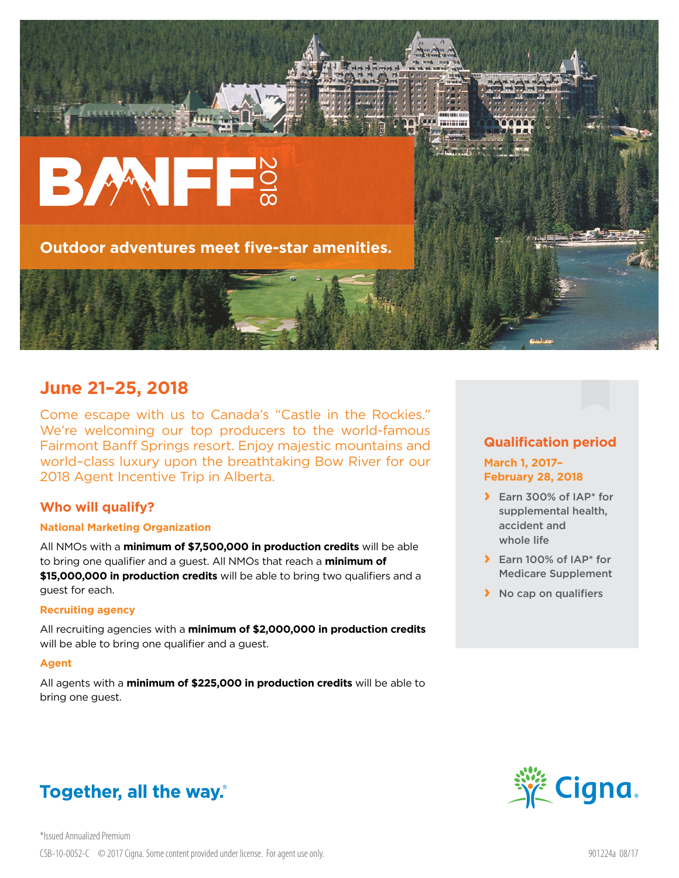

## **June 21–25, 2018**

Come escape with us to Canada's "Castle in the Rockies." We're welcoming our top producers to the world-famous Fairmont Banff Springs resort. Enjoy majestic mountains and world–class luxury upon the breathtaking Bow River for our 2018 Agent Incentive Trip in Alberta.

### **Who will qualify?**

#### **National Marketing Organization**

All NMOs with a **minimum of \$7,500,000 in production credits** will be able to bring one qualifier and a guest. All NMOs that reach a **minimum of \$15,000,000 in production credits** will be able to bring two qualifiers and a guest for each.

#### **Recruiting agency**

All recruiting agencies with a **minimum of \$2,000,000 in production credits** will be able to bring one qualifier and a guest.

#### **Agent**

All agents with a **minimum of \$225,000 in production credits** will be able to bring one guest.

# Together, all the way.

## **Qualification period**

**March 1, 2017– February 28, 2018**

- **›** Earn 300% of IAP\* for supplemental health, accident and whole life
- **›** Earn 100% of IAP\* for Medicare Supplement
- **›** No cap on qualifiers